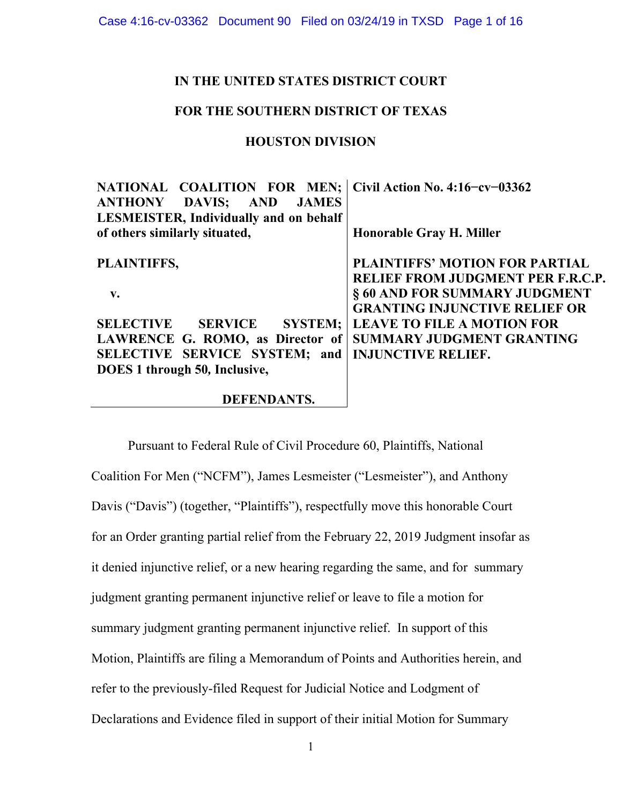### **IN THE UNITED STATES DISTRICT COURT**

### **FOR THE SOUTHERN DISTRICT OF TEXAS**

### **HOUSTON DIVISION**

| NATIONAL COALITION FOR MEN; Civil Action No. 4:16-cv-03362<br><b>ANTHONY DAVIS;</b><br><b>AND JAMES</b> |                                                                            |
|---------------------------------------------------------------------------------------------------------|----------------------------------------------------------------------------|
| <b>LESMEISTER, Individually and on behalf</b><br>of others similarly situated,                          | <b>Honorable Gray H. Miller</b>                                            |
| PLAINTIFFS,                                                                                             | <b>PLAINTIFFS' MOTION FOR PARTIAL</b><br>RELIEF FROM JUDGMENT PER F.R.C.P. |
| $V_{\bullet}$                                                                                           | § 60 AND FOR SUMMARY JUDGMENT<br><b>GRANTING INJUNCTIVE RELIEF OR</b>      |
| <b>SELECTIVE</b><br><b>SERVICE</b>                                                                      | <b>SYSTEM;   LEAVE TO FILE A MOTION FOR</b>                                |
| LAWRENCE G. ROMO, as Director of                                                                        | SUMMARY JUDGMENT GRANTING                                                  |
| SELECTIVE SERVICE SYSTEM; and                                                                           | <b>INJUNCTIVE RELIEF.</b>                                                  |
| DOES 1 through 50, Inclusive,                                                                           |                                                                            |
|                                                                                                         |                                                                            |

#### **DEFENDANTS.**

Pursuant to Federal Rule of Civil Procedure 60, Plaintiffs, National Coalition For Men ("NCFM"), James Lesmeister ("Lesmeister"), and Anthony Davis ("Davis") (together, "Plaintiffs"), respectfully move this honorable Court for an Order granting partial relief from the February 22, 2019 Judgment insofar as it denied injunctive relief, or a new hearing regarding the same, and for summary judgment granting permanent injunctive relief or leave to file a motion for summary judgment granting permanent injunctive relief. In support of this Motion, Plaintiffs are filing a Memorandum of Points and Authorities herein, and refer to the previously-filed Request for Judicial Notice and Lodgment of Declarations and Evidence filed in support of their initial Motion for Summary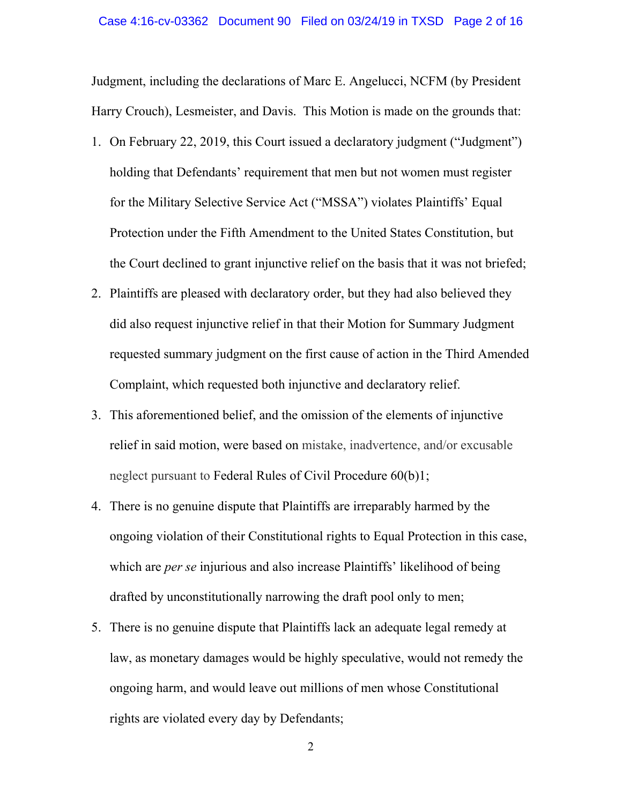Judgment, including the declarations of Marc E. Angelucci, NCFM (by President Harry Crouch), Lesmeister, and Davis. This Motion is made on the grounds that:

- 1. On February 22, 2019, this Court issued a declaratory judgment ("Judgment") holding that Defendants' requirement that men but not women must register for the Military Selective Service Act ("MSSA") violates Plaintiffs' Equal Protection under the Fifth Amendment to the United States Constitution, but the Court declined to grant injunctive relief on the basis that it was not briefed;
- 2. Plaintiffs are pleased with declaratory order, but they had also believed they did also request injunctive relief in that their Motion for Summary Judgment requested summary judgment on the first cause of action in the Third Amended Complaint, which requested both injunctive and declaratory relief.
- 3. This aforementioned belief, and the omission of the elements of injunctive relief in said motion, were based on mistake, inadvertence, and/or excusable neglect pursuant to Federal Rules of Civil Procedure 60(b)1;
- 4. There is no genuine dispute that Plaintiffs are irreparably harmed by the ongoing violation of their Constitutional rights to Equal Protection in this case, which are *per se* injurious and also increase Plaintiffs' likelihood of being drafted by unconstitutionally narrowing the draft pool only to men;
- 5. There is no genuine dispute that Plaintiffs lack an adequate legal remedy at law, as monetary damages would be highly speculative, would not remedy the ongoing harm, and would leave out millions of men whose Constitutional rights are violated every day by Defendants;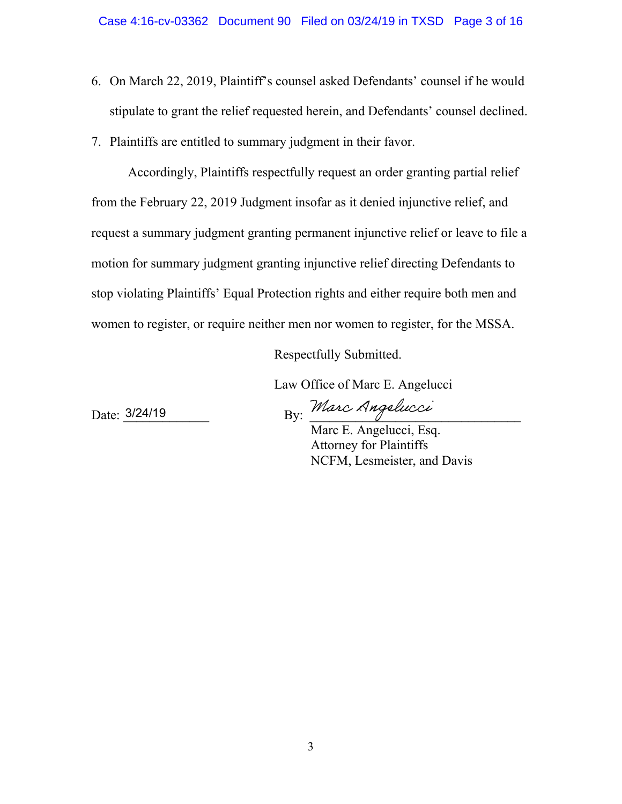- 6. On March 22, 2019, Plaintiff's counsel asked Defendants' counsel if he would stipulate to grant the relief requested herein, and Defendants' counsel declined.
- 7. Plaintiffs are entitled to summary judgment in their favor.

Accordingly, Plaintiffs respectfully request an order granting partial relief from the February 22, 2019 Judgment insofar as it denied injunctive relief, and request a summary judgment granting permanent injunctive relief or leave to file a motion for summary judgment granting injunctive relief directing Defendants to stop violating Plaintiffs' Equal Protection rights and either require both men and women to register, or require neither men nor women to register, for the MSSA.

Respectfully Submitted.

Law Office of Marc E. Angelucci

Date: 3/24/19

By: Marc Angelucci

Marc E. Angelucci, Esq. Attorney for Plaintiffs NCFM, Lesmeister, and Davis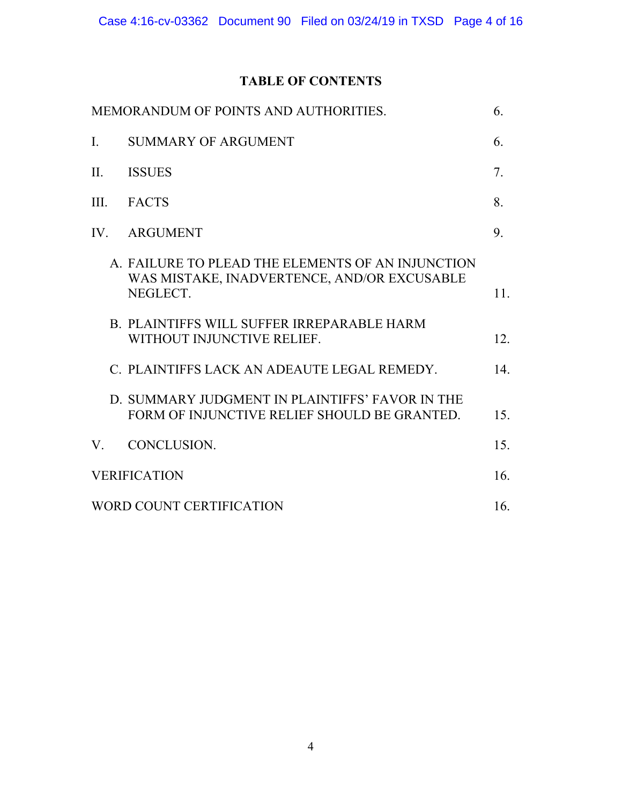# **TABLE OF CONTENTS**

| MEMORANDUM OF POINTS AND AUTHORITIES. |                                                                                                              | 6.              |
|---------------------------------------|--------------------------------------------------------------------------------------------------------------|-----------------|
| I.                                    | <b>SUMMARY OF ARGUMENT</b>                                                                                   | 6.              |
| II.                                   | <b>ISSUES</b>                                                                                                | 7.              |
| III.                                  | <b>FACTS</b>                                                                                                 | 8.              |
|                                       | IV. ARGUMENT                                                                                                 | 9.              |
|                                       | A. FAILURE TO PLEAD THE ELEMENTS OF AN INJUNCTION<br>WAS MISTAKE, INADVERTENCE, AND/OR EXCUSABLE<br>NEGLECT. | 11.             |
|                                       | B. PLAINTIFFS WILL SUFFER IRREPARABLE HARM<br>WITHOUT INJUNCTIVE RELIEF.                                     | 12.             |
|                                       | C. PLAINTIFFS LACK AN ADEAUTE LEGAL REMEDY.                                                                  | 14 <sub>1</sub> |
|                                       | D. SUMMARY JUDGMENT IN PLAINTIFFS' FAVOR IN THE<br>FORM OF INJUNCTIVE RELIEF SHOULD BE GRANTED.              | 15.             |
| V.                                    | CONCLUSION.                                                                                                  | 15.             |
|                                       | <b>VERIFICATION</b>                                                                                          | 16.             |
| WORD COUNT CERTIFICATION              |                                                                                                              |                 |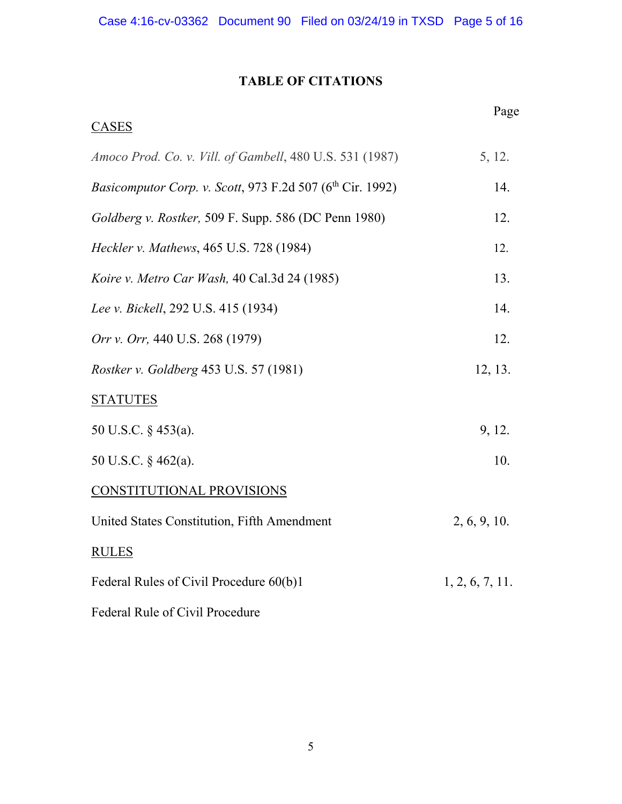# **TABLE OF CITATIONS**

| <b>CASES</b>                                                          | Page            |
|-----------------------------------------------------------------------|-----------------|
| Amoco Prod. Co. v. Vill. of Gambell, 480 U.S. 531 (1987)              | 5, 12.          |
| Basicomputor Corp. v. Scott, 973 F.2d 507 (6 <sup>th</sup> Cir. 1992) | 14.             |
| Goldberg v. Rostker, 509 F. Supp. 586 (DC Penn 1980)                  | 12.             |
| Heckler v. Mathews, 465 U.S. 728 (1984)                               | 12.             |
| Koire v. Metro Car Wash, 40 Cal.3d 24 (1985)                          | 13.             |
| Lee v. Bickell, 292 U.S. 415 (1934)                                   | 14.             |
| Orr v. Orr, 440 U.S. 268 (1979)                                       | 12.             |
| Rostker v. Goldberg 453 U.S. 57 (1981)                                | 12, 13.         |
| <b>STATUTES</b>                                                       |                 |
| 50 U.S.C. § 453(a).                                                   | 9, 12.          |
| 50 U.S.C. § 462(a).                                                   | 10.             |
| CONSTITUTIONAL PROVISIONS                                             |                 |
| United States Constitution, Fifth Amendment                           | 2, 6, 9, 10.    |
| <b>RULES</b>                                                          |                 |
| Federal Rules of Civil Procedure 60(b)1                               | 1, 2, 6, 7, 11. |
| Federal Rule of Civil Procedure                                       |                 |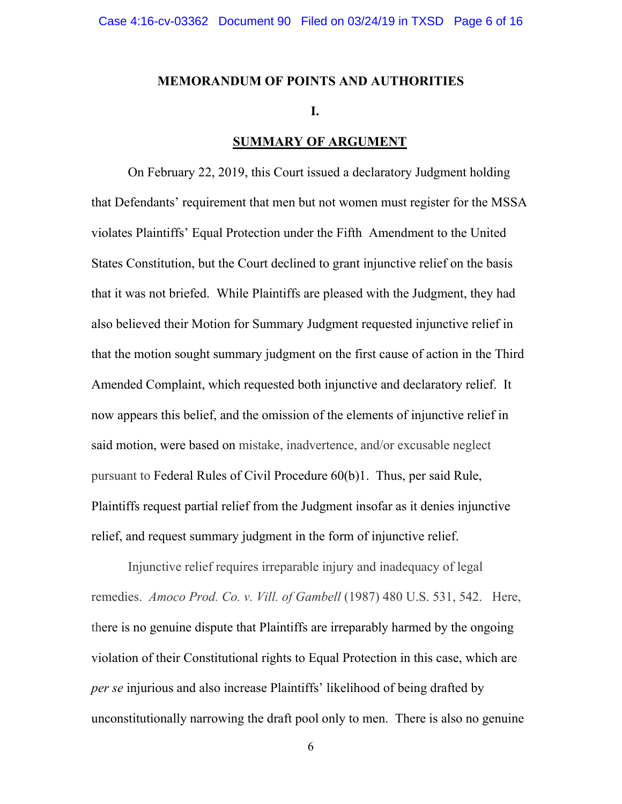#### **MEMORANDUM OF POINTS AND AUTHORITIES**

#### **I.**

### **SUMMARY OF ARGUMENT**

On February 22, 2019, this Court issued a declaratory Judgment holding that Defendants' requirement that men but not women must register for the MSSA violates Plaintiffs' Equal Protection under the Fifth Amendment to the United States Constitution, but the Court declined to grant injunctive relief on the basis that it was not briefed. While Plaintiffs are pleased with the Judgment, they had also believed their Motion for Summary Judgment requested injunctive relief in that the motion sought summary judgment on the first cause of action in the Third Amended Complaint, which requested both injunctive and declaratory relief. It now appears this belief, and the omission of the elements of injunctive relief in said motion, were based on mistake, inadvertence, and/or excusable neglect pursuant to Federal Rules of Civil Procedure 60(b)1. Thus, per said Rule, Plaintiffs request partial relief from the Judgment insofar as it denies injunctive relief, and request summary judgment in the form of injunctive relief.

Injunctive relief requires irreparable injury and inadequacy of legal remedies. *Amoco Prod. Co. v. Vill. of Gambell* (1987) 480 U.S. 531, 542. Here, there is no genuine dispute that Plaintiffs are irreparably harmed by the ongoing violation of their Constitutional rights to Equal Protection in this case, which are *per se* injurious and also increase Plaintiffs' likelihood of being drafted by unconstitutionally narrowing the draft pool only to men. There is also no genuine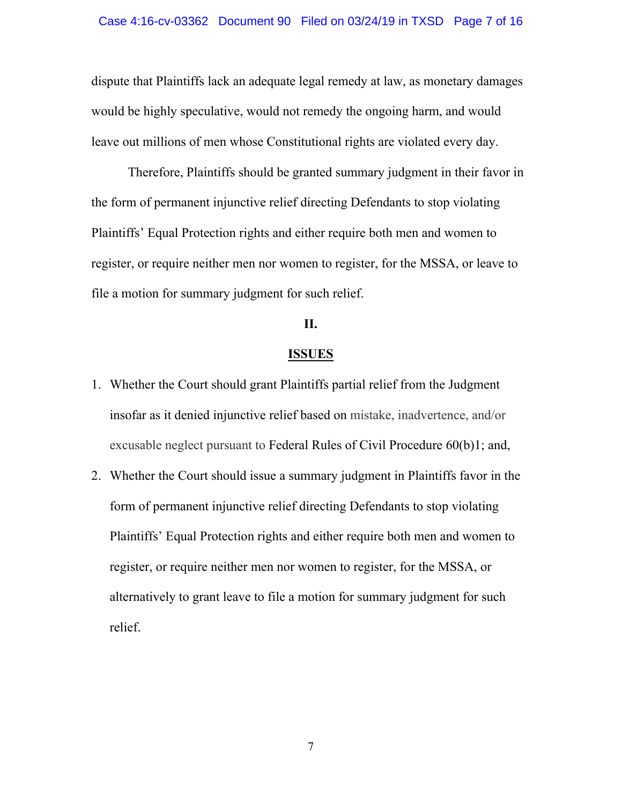dispute that Plaintiffs lack an adequate legal remedy at law, as monetary damages would be highly speculative, would not remedy the ongoing harm, and would leave out millions of men whose Constitutional rights are violated every day.

Therefore, Plaintiffs should be granted summary judgment in their favor in the form of permanent injunctive relief directing Defendants to stop violating Plaintiffs' Equal Protection rights and either require both men and women to register, or require neither men nor women to register, for the MSSA, or leave to file a motion for summary judgment for such relief.

### **II.**

#### **ISSUES**

- 1. Whether the Court should grant Plaintiffs partial relief from the Judgment insofar as it denied injunctive relief based on mistake, inadvertence, and/or excusable neglect pursuant to Federal Rules of Civil Procedure 60(b)1; and,
- 2. Whether the Court should issue a summary judgment in Plaintiffs favor in the form of permanent injunctive relief directing Defendants to stop violating Plaintiffs' Equal Protection rights and either require both men and women to register, or require neither men nor women to register, for the MSSA, or alternatively to grant leave to file a motion for summary judgment for such relief.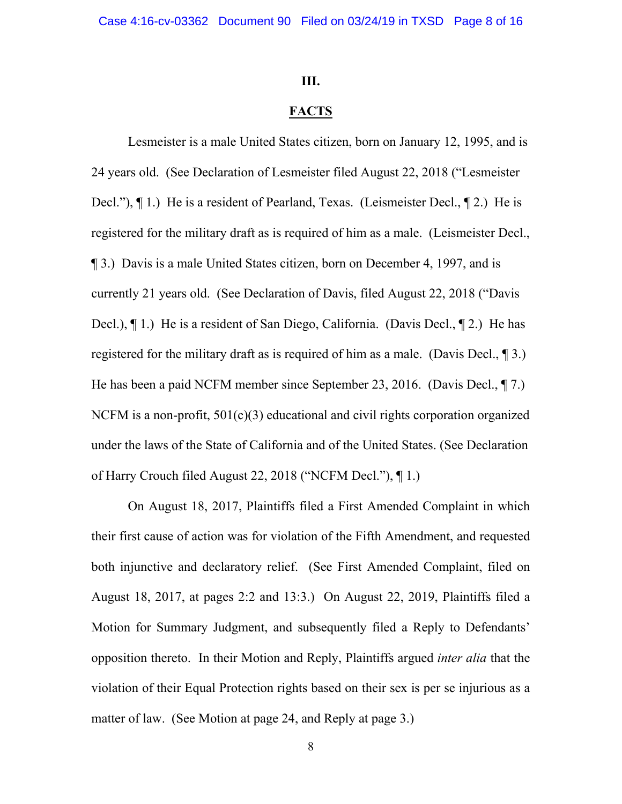#### **III.**

### **FACTS**

Lesmeister is a male United States citizen, born on January 12, 1995, and is 24 years old. (See Declaration of Lesmeister filed August 22, 2018 ("Lesmeister Decl."), ¶ 1.) He is a resident of Pearland, Texas. (Leismeister Decl., ¶ 2.) He is registered for the military draft as is required of him as a male. (Leismeister Decl., ¶ 3.) Davis is a male United States citizen, born on December 4, 1997, and is currently 21 years old. (See Declaration of Davis, filed August 22, 2018 ("Davis Decl.), ¶ 1.) He is a resident of San Diego, California. (Davis Decl., ¶ 2.) He has registered for the military draft as is required of him as a male. (Davis Decl., ¶ 3.) He has been a paid NCFM member since September 23, 2016. (Davis Decl., ¶ 7.) NCFM is a non-profit,  $501(c)(3)$  educational and civil rights corporation organized under the laws of the State of California and of the United States. (See Declaration of Harry Crouch filed August 22, 2018 ("NCFM Decl."), ¶ 1.)

On August 18, 2017, Plaintiffs filed a First Amended Complaint in which their first cause of action was for violation of the Fifth Amendment, and requested both injunctive and declaratory relief. (See First Amended Complaint, filed on August 18, 2017, at pages 2:2 and 13:3.) On August 22, 2019, Plaintiffs filed a Motion for Summary Judgment, and subsequently filed a Reply to Defendants' opposition thereto. In their Motion and Reply, Plaintiffs argued *inter alia* that the violation of their Equal Protection rights based on their sex is per se injurious as a matter of law. (See Motion at page 24, and Reply at page 3.)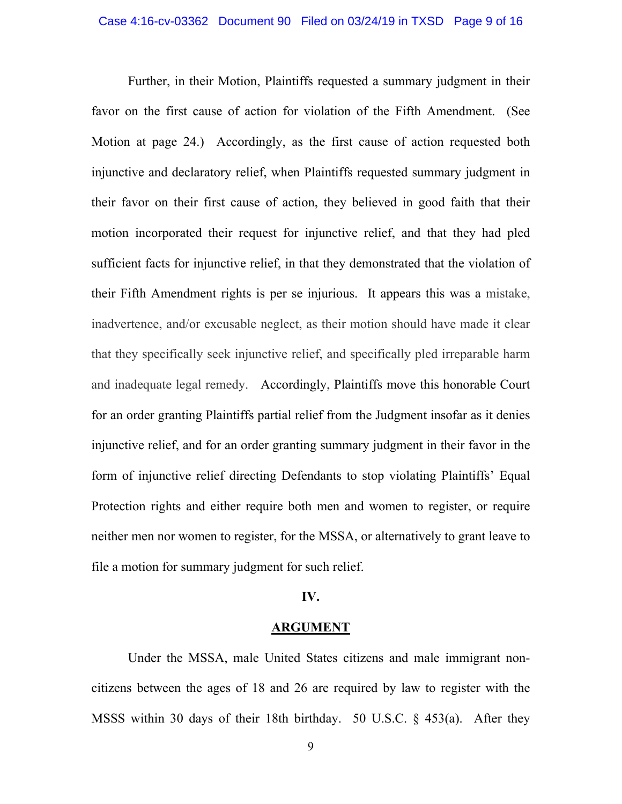Further, in their Motion, Plaintiffs requested a summary judgment in their favor on the first cause of action for violation of the Fifth Amendment. (See Motion at page 24.) Accordingly, as the first cause of action requested both injunctive and declaratory relief, when Plaintiffs requested summary judgment in their favor on their first cause of action, they believed in good faith that their motion incorporated their request for injunctive relief, and that they had pled sufficient facts for injunctive relief, in that they demonstrated that the violation of their Fifth Amendment rights is per se injurious. It appears this was a mistake, inadvertence, and/or excusable neglect, as their motion should have made it clear that they specifically seek injunctive relief, and specifically pled irreparable harm and inadequate legal remedy. Accordingly, Plaintiffs move this honorable Court for an order granting Plaintiffs partial relief from the Judgment insofar as it denies injunctive relief, and for an order granting summary judgment in their favor in the form of injunctive relief directing Defendants to stop violating Plaintiffs' Equal Protection rights and either require both men and women to register, or require neither men nor women to register, for the MSSA, or alternatively to grant leave to file a motion for summary judgment for such relief.

### **IV.**

#### **ARGUMENT**

Under the MSSA, male United States citizens and male immigrant noncitizens between the ages of 18 and 26 are required by law to register with the MSSS within 30 days of their 18th birthday. 50 U.S.C. § 453(a). After they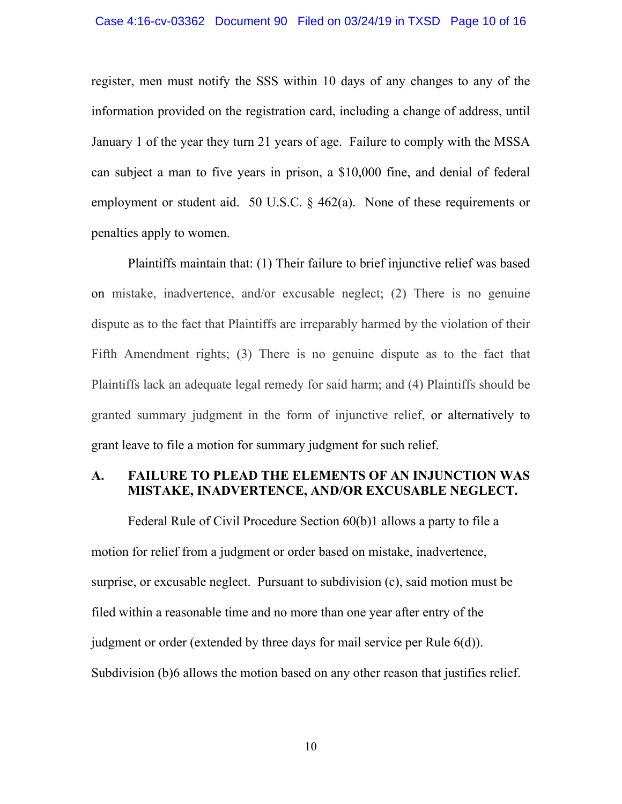#### Case 4:16-cv-03362 Document 90 Filed on 03/24/19 in TXSD Page 10 of 16

register, men must notify the SSS within 10 days of any changes to any of the information provided on the registration card, including a change of address, until January 1 of the year they turn 21 years of age. Failure to comply with the MSSA can subject a man to five years in prison, a \$10,000 fine, and denial of federal employment or student aid. 50 U.S.C. § 462(a). None of these requirements or penalties apply to women.

Plaintiffs maintain that: (1) Their failure to brief injunctive relief was based on mistake, inadvertence, and/or excusable neglect; (2) There is no genuine dispute as to the fact that Plaintiffs are irreparably harmed by the violation of their Fifth Amendment rights; (3) There is no genuine dispute as to the fact that Plaintiffs lack an adequate legal remedy for said harm; and (4) Plaintiffs should be granted summary judgment in the form of injunctive relief, or alternatively to grant leave to file a motion for summary judgment for such relief.

## **A. FAILURE TO PLEAD THE ELEMENTS OF AN INJUNCTION WAS MISTAKE, INADVERTENCE, AND/OR EXCUSABLE NEGLECT.**

Federal Rule of Civil Procedure Section 60(b)1 allows a party to file a motion for relief from a judgment or order based on mistake, inadvertence, surprise, or excusable neglect. Pursuant to subdivision (c), said motion must be filed within a reasonable time and no more than one year after entry of the judgment or order (extended by three days for mail service per Rule 6(d)). Subdivision (b)6 allows the motion based on any other reason that justifies relief.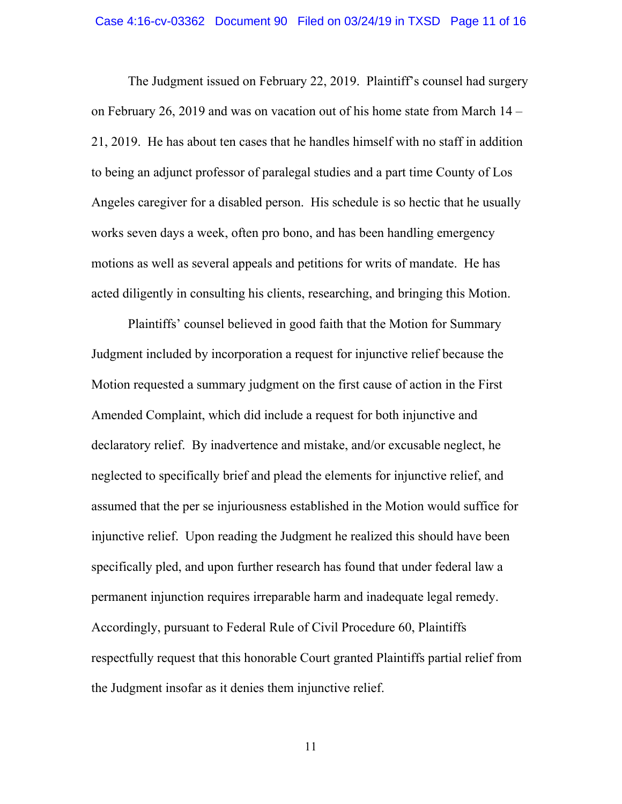The Judgment issued on February 22, 2019. Plaintiff's counsel had surgery on February 26, 2019 and was on vacation out of his home state from March 14 – 21, 2019. He has about ten cases that he handles himself with no staff in addition to being an adjunct professor of paralegal studies and a part time County of Los Angeles caregiver for a disabled person. His schedule is so hectic that he usually works seven days a week, often pro bono, and has been handling emergency motions as well as several appeals and petitions for writs of mandate. He has acted diligently in consulting his clients, researching, and bringing this Motion.

Plaintiffs' counsel believed in good faith that the Motion for Summary Judgment included by incorporation a request for injunctive relief because the Motion requested a summary judgment on the first cause of action in the First Amended Complaint, which did include a request for both injunctive and declaratory relief. By inadvertence and mistake, and/or excusable neglect, he neglected to specifically brief and plead the elements for injunctive relief, and assumed that the per se injuriousness established in the Motion would suffice for injunctive relief. Upon reading the Judgment he realized this should have been specifically pled, and upon further research has found that under federal law a permanent injunction requires irreparable harm and inadequate legal remedy. Accordingly, pursuant to Federal Rule of Civil Procedure 60, Plaintiffs respectfully request that this honorable Court granted Plaintiffs partial relief from the Judgment insofar as it denies them injunctive relief.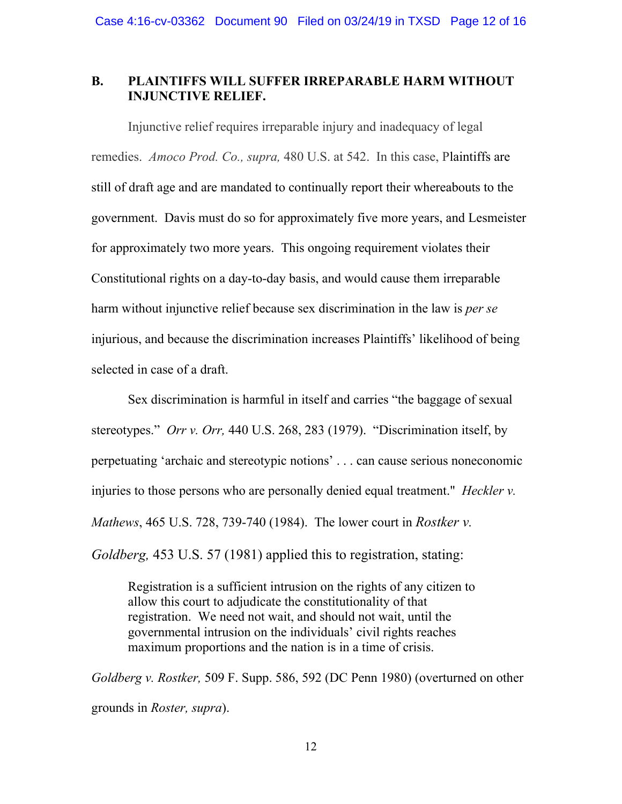### **B. PLAINTIFFS WILL SUFFER IRREPARABLE HARM WITHOUT INJUNCTIVE RELIEF.**

Injunctive relief requires irreparable injury and inadequacy of legal remedies. *Amoco Prod. Co., supra,* 480 U.S. at 542. In this case, Plaintiffs are still of draft age and are mandated to continually report their whereabouts to the government. Davis must do so for approximately five more years, and Lesmeister for approximately two more years. This ongoing requirement violates their Constitutional rights on a day-to-day basis, and would cause them irreparable harm without injunctive relief because sex discrimination in the law is *per se*  injurious, and because the discrimination increases Plaintiffs' likelihood of being selected in case of a draft.

Sex discrimination is harmful in itself and carries "the baggage of sexual stereotypes." *Orr v. Orr,* 440 U.S. 268, 283 (1979). "Discrimination itself, by perpetuating 'archaic and stereotypic notions' . . . can cause serious noneconomic injuries to those persons who are personally denied equal treatment." *Heckler v. Mathews*, 465 U.S. 728, 739-740 (1984). The lower court in *Rostker v. Goldberg,* 453 U.S. 57 (1981) applied this to registration, stating:

Registration is a sufficient intrusion on the rights of any citizen to allow this court to adjudicate the constitutionality of that registration. We need not wait, and should not wait, until the governmental intrusion on the individuals' civil rights reaches maximum proportions and the nation is in a time of crisis.

*Goldberg v. Rostker,* 509 F. Supp. 586, 592 (DC Penn 1980) (overturned on other grounds in *Roster, supra*).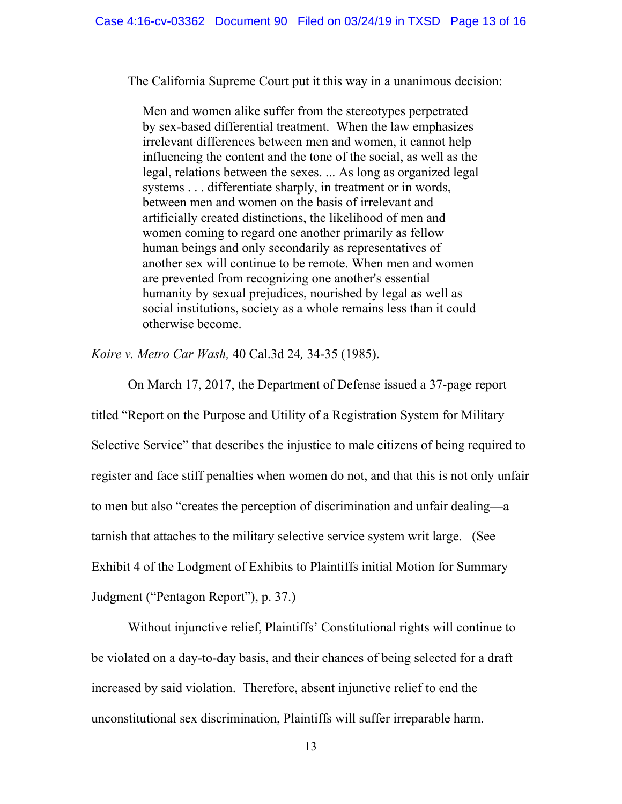The California Supreme Court put it this way in a unanimous decision:

Men and women alike suffer from the stereotypes perpetrated by sex-based differential treatment. When the law emphasizes irrelevant differences between men and women, it cannot help influencing the content and the tone of the social, as well as the legal, relations between the sexes. ... As long as organized legal systems . . . differentiate sharply, in treatment or in words, between men and women on the basis of irrelevant and artificially created distinctions, the likelihood of men and women coming to regard one another primarily as fellow human beings and only secondarily as representatives of another sex will continue to be remote. When men and women are prevented from recognizing one another's essential humanity by sexual prejudices, nourished by legal as well as social institutions, society as a whole remains less than it could otherwise become.

*Koire v. Metro Car Wash,* 40 Cal.3d 24*,* 34-35 (1985).

On March 17, 2017, the Department of Defense issued a 37-page report

titled "Report on the Purpose and Utility of a Registration System for Military Selective Service" that describes the injustice to male citizens of being required to register and face stiff penalties when women do not, and that this is not only unfair to men but also "creates the perception of discrimination and unfair dealing—a tarnish that attaches to the military selective service system writ large. (See Exhibit 4 of the Lodgment of Exhibits to Plaintiffs initial Motion for Summary Judgment ("Pentagon Report"), p. 37.)

Without injunctive relief, Plaintiffs' Constitutional rights will continue to be violated on a day-to-day basis, and their chances of being selected for a draft increased by said violation. Therefore, absent injunctive relief to end the unconstitutional sex discrimination, Plaintiffs will suffer irreparable harm.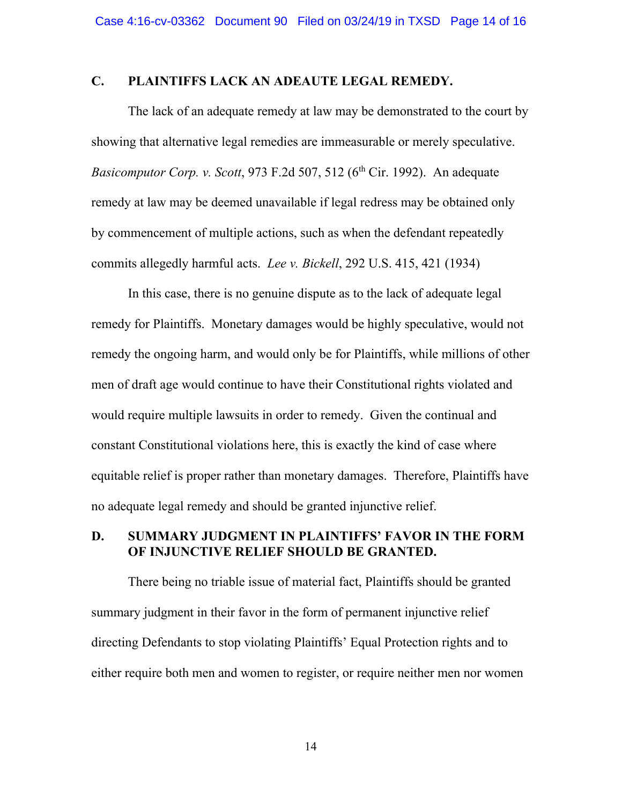### **C. PLAINTIFFS LACK AN ADEAUTE LEGAL REMEDY.**

The lack of an adequate remedy at law may be demonstrated to the court by showing that alternative legal remedies are immeasurable or merely speculative. *Basicomputor Corp. v. Scott,* 973 F.2d 507, 512 (6<sup>th</sup> Cir. 1992). An adequate remedy at law may be deemed unavailable if legal redress may be obtained only by commencement of multiple actions, such as when the defendant repeatedly commits allegedly harmful acts. *Lee v. Bickell*, 292 U.S. 415, 421 (1934)

In this case, there is no genuine dispute as to the lack of adequate legal remedy for Plaintiffs. Monetary damages would be highly speculative, would not remedy the ongoing harm, and would only be for Plaintiffs, while millions of other men of draft age would continue to have their Constitutional rights violated and would require multiple lawsuits in order to remedy. Given the continual and constant Constitutional violations here, this is exactly the kind of case where equitable relief is proper rather than monetary damages. Therefore, Plaintiffs have no adequate legal remedy and should be granted injunctive relief.

# **D. SUMMARY JUDGMENT IN PLAINTIFFS' FAVOR IN THE FORM OF INJUNCTIVE RELIEF SHOULD BE GRANTED.**

There being no triable issue of material fact, Plaintiffs should be granted summary judgment in their favor in the form of permanent injunctive relief directing Defendants to stop violating Plaintiffs' Equal Protection rights and to either require both men and women to register, or require neither men nor women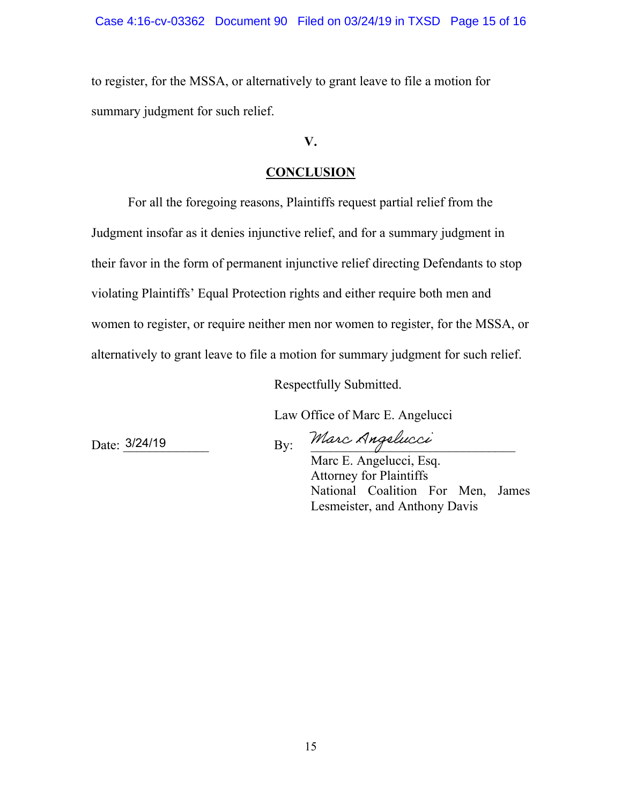to register, for the MSSA, or alternatively to grant leave to file a motion for summary judgment for such relief.

**V.** 

# **CONCLUSION**

For all the foregoing reasons, Plaintiffs request partial relief from the Judgment insofar as it denies injunctive relief, and for a summary judgment in their favor in the form of permanent injunctive relief directing Defendants to stop violating Plaintiffs' Equal Protection rights and either require both men and women to register, or require neither men nor women to register, for the MSSA, or alternatively to grant leave to file a motion for summary judgment for such relief.

Respectfully Submitted.

Law Office of Marc E. Angelucci

Date:  $3/24/19$  By: *Marc xynquencel* 

Marc E. Angelucci, Esq. Attorney for Plaintiffs National Coalition For Men, James Lesmeister, and Anthony Davis